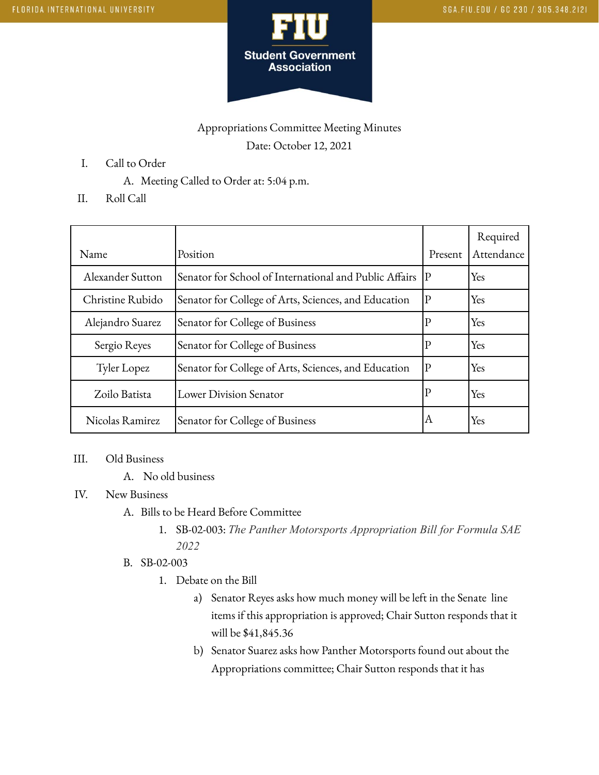

## Appropriations Committee Meeting Minutes Date: October 12, 2021

- I. Call to Order
	- A. Meeting Called to Order at: 5:04 p.m.
- II. Roll Call

| Name             | Position                                               | Present      | Required<br>Attendance |
|------------------|--------------------------------------------------------|--------------|------------------------|
| Alexander Sutton | Senator for School of International and Public Affairs | $ {\bf P} $  | Yes                    |
| Christine Rubido | Senator for College of Arts, Sciences, and Education   | P            | Yes                    |
| Alejandro Suarez | Senator for College of Business                        | $\mathbf{P}$ | Yes                    |
| Sergio Reyes     | Senator for College of Business                        | $\mathbf{P}$ | Yes                    |
| Tyler Lopez      | Senator for College of Arts, Sciences, and Education   | $ {\rm P} $  | Yes                    |
| Zoilo Batista    | Lower Division Senator                                 | $\mathbb{P}$ | Yes                    |
| Nicolas Ramirez  | Senator for College of Business                        | ΙA           | Yes                    |

## III. Old Business

A. No old business

## IV. New Business

- A. Bills to be Heard Before Committee
	- 1. SB-02-003: *The Panther Motorsports Appropriation Bill for Formula SAE 2022*
- B. SB-02-003
	- 1. Debate on the Bill
		- a) Senator Reyes asks how much money will be left in the Senate line items if this appropriation is approved; Chair Sutton responds that it will be \$41,845.36
		- b) Senator Suarez asks how Panther Motorsports found out about the Appropriations committee; Chair Sutton responds that it has